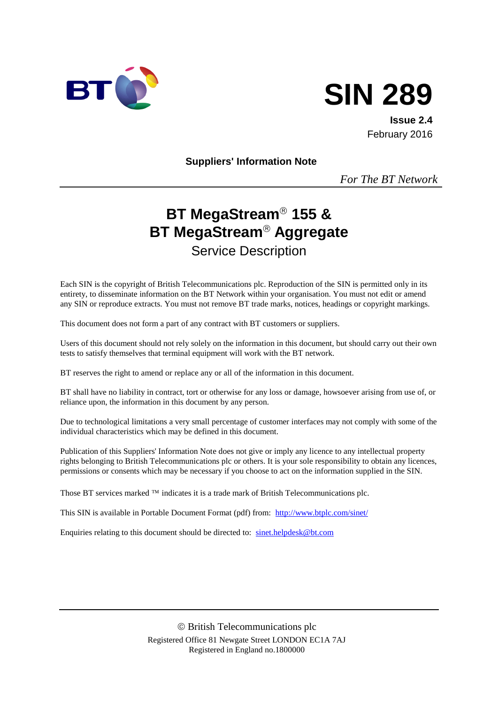



**Issue 2.4** February 2016

**Suppliers' Information Note**

*For The BT Network*

# **BT MegaStream<sup>®</sup> 155 & BT MegaStream<sup>®</sup> Aggregate** Service Description

Each SIN is the copyright of British Telecommunications plc. Reproduction of the SIN is permitted only in its entirety, to disseminate information on the BT Network within your organisation. You must not edit or amend any SIN or reproduce extracts. You must not remove BT trade marks, notices, headings or copyright markings.

This document does not form a part of any contract with BT customers or suppliers.

Users of this document should not rely solely on the information in this document, but should carry out their own tests to satisfy themselves that terminal equipment will work with the BT network.

BT reserves the right to amend or replace any or all of the information in this document.

BT shall have no liability in contract, tort or otherwise for any loss or damage, howsoever arising from use of, or reliance upon, the information in this document by any person.

Due to technological limitations a very small percentage of customer interfaces may not comply with some of the individual characteristics which may be defined in this document.

Publication of this Suppliers' Information Note does not give or imply any licence to any intellectual property rights belonging to British Telecommunications plc or others. It is your sole responsibility to obtain any licences, permissions or consents which may be necessary if you choose to act on the information supplied in the SIN.

Those BT services marked  $TM$  indicates it is a trade mark of British Telecommunications plc.

This SIN is available in Portable Document Format (pdf) from: <http://www.btplc.com/sinet/>

Enquiries relating to this document should be directed to: [sinet.helpdesk@bt.com](mailto:sinet.helpdesk@bt.com)

 British Telecommunications plc Registered Office 81 Newgate Street LONDON EC1A 7AJ Registered in England no.1800000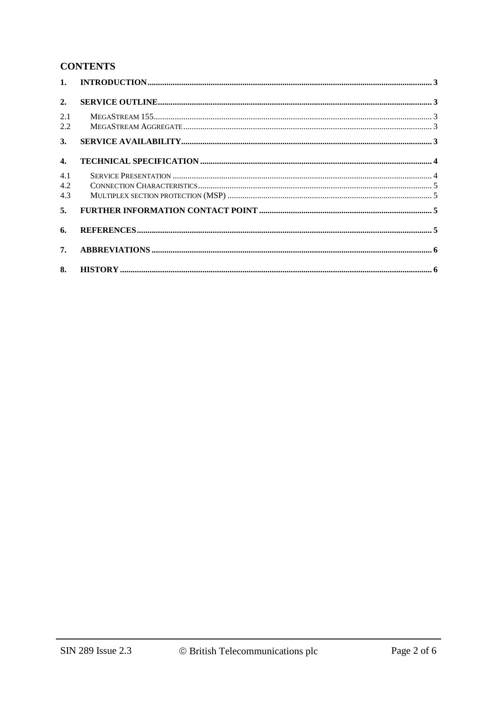# **CONTENTS**

| 1.                |  |
|-------------------|--|
| 2.                |  |
| 2.1<br>2.2        |  |
| 3.                |  |
| $\mathbf{4}$ .    |  |
| 4.1<br>4.2<br>4.3 |  |
| 5.                |  |
| 6.                |  |
| 7.                |  |
| 8.                |  |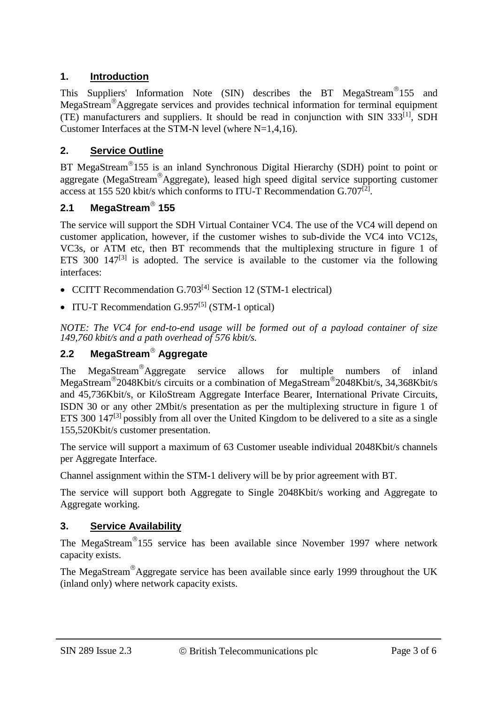# **1. Introduction**

This Suppliers' Information Note (SIN) describes the BT MegaStream<sup>®</sup>155 and MegaStream<sup>®</sup>Aggregate services and provides technical information for terminal equipment (TE) manufacturers and suppliers. It should be read in conjunction with SIN  $333^{[1]}$ , SDH Customer Interfaces at the STM-N level (where N=1,4,16).

# **2. Service Outline**

BT MegaStream<sup>®</sup>155 is an inland Synchronous Digital Hierarchy (SDH) point to point or aggregate (MegaStream<sup>®</sup>Aggregate), leased high speed digital service supporting customer access at 155 520 kbit/s which conforms to ITU-T Recommendation  $G.707^{[2]}$ .

# **2.1 MegaStream 155**

The service will support the SDH Virtual Container VC4. The use of the VC4 will depend on customer application, however, if the customer wishes to sub-divide the VC4 into VC12s, VC3s, or ATM etc, then BT recommends that the multiplexing structure in figure 1 of ETS 300  $147^{[3]}$  is adopted. The service is available to the customer via the following interfaces:

- CCITT Recommendation G.703<sup>[4]</sup> Section 12 (STM-1 electrical)
- ITU-T Recommendation  $G.957^{[5]}$  (STM-1 optical)

*NOTE: The VC4 for end-to-end usage will be formed out of a payload container of size 149,760 kbit/s and a path overhead of 576 kbit/s.* 

# **2.2 MegaStream Aggregate**

The MegaStream®Aggregate service allows for multiple numbers of inland MegaStream 2048Kbit/s circuits or a combination of MegaStream 2048Kbit/s, 34,368Kbit/s and 45,736Kbit/s, or KiloStream Aggregate Interface Bearer, International Private Circuits, ISDN 30 or any other 2Mbit/s presentation as per the multiplexing structure in figure 1 of ETS 300  $147^{[3]}$  possibly from all over the United Kingdom to be delivered to a site as a single 155,520Kbit/s customer presentation.

The service will support a maximum of 63 Customer useable individual 2048Kbit/s channels per Aggregate Interface.

Channel assignment within the STM-1 delivery will be by prior agreement with BT.

The service will support both Aggregate to Single 2048Kbit/s working and Aggregate to Aggregate working.

# **3. Service Availability**

The MegaStream<sup>®</sup>155 service has been available since November 1997 where network capacity exists.

The MegaStream<sup>®</sup>Aggregate service has been available since early 1999 throughout the UK (inland only) where network capacity exists.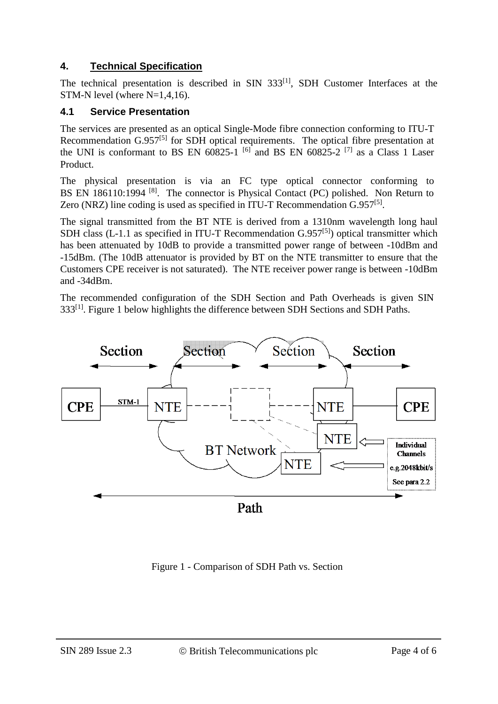# **4. Technical Specification**

The technical presentation is described in SIN 333<sup>[1]</sup>, SDH Customer Interfaces at the STM-N level (where N=1,4,16).

# **4.1 Service Presentation**

The services are presented as an optical Single-Mode fibre connection conforming to ITU-T Recommendation  $G.957^{[5]}$  for SDH optical requirements. The optical fibre presentation at the UNI is conformant to BS EN  $60825-1$  <sup>[6]</sup> and BS EN  $60825-2$  <sup>[7]</sup> as a Class 1 Laser Product.

The physical presentation is via an FC type optical connector conforming to BS EN 186110:1994<sup>[8]</sup>. The connector is Physical Contact (PC) polished. Non Return to Zero (NRZ) line coding is used as specified in ITU-T Recommendation  $G.957^{[5]}$ .

The signal transmitted from the BT NTE is derived from a 1310nm wavelength long haul SDH class (L-1.1 as specified in ITU-T Recommendation  $G.957^{[5]}$ ) optical transmitter which has been attenuated by 10dB to provide a transmitted power range of between -10dBm and -15dBm. (The 10dB attenuator is provided by BT on the NTE transmitter to ensure that the Customers CPE receiver is not saturated). The NTE receiver power range is between -10dBm and -34dBm.

The recommended configuration of the SDH Section and Path Overheads is given SIN 333<sup>[1]</sup>. Figure 1 below highlights the difference between SDH Sections and SDH Paths.



Figure 1 - Comparison of SDH Path vs. Section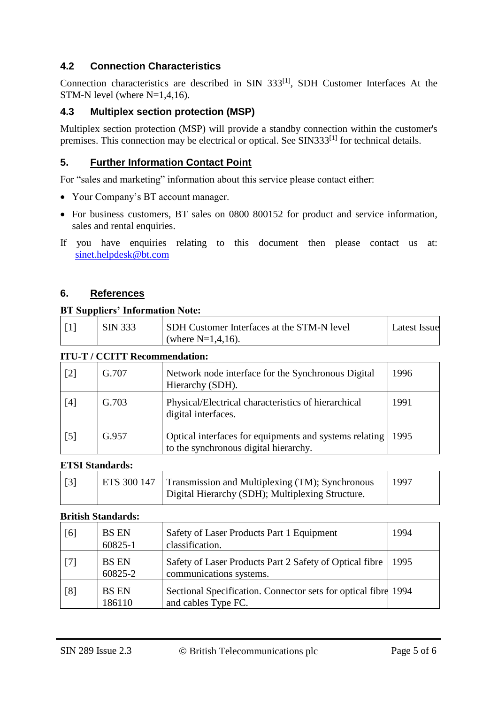# **4.2 Connection Characteristics**

Connection characteristics are described in SIN 333<sup>[1]</sup>, SDH Customer Interfaces At the STM-N level (where N=1,4,16).

## **4.3 Multiplex section protection (MSP)**

Multiplex section protection (MSP) will provide a standby connection within the customer's premises. This connection may be electrical or optical. See SIN333<sup>[1]</sup> for technical details.

## **5. Further Information Contact Point**

For "sales and marketing" information about this service please contact either:

- Your Company's BT account manager.
- For business customers, BT sales on 0800 800152 for product and service information, sales and rental enquiries.
- If you have enquiries relating to this document then please contact us at: [sinet.helpdesk@bt.com](mailto:sinet.helpdesk@bt.com)

### **6. References**

#### **BT Suppliers' Information Note:**

|  | SIN 333 | SDH Customer Interfaces at the STM-N level | Latest Issue |
|--|---------|--------------------------------------------|--------------|
|  |         | (where $N=1,4,16$ ).                       |              |

#### **ITU-T / CCITT Recommendation:**

| $\lceil 2 \rceil$ | G.707 | Network node interface for the Synchronous Digital<br>Hierarchy (SDH).                          | 1996 |
|-------------------|-------|-------------------------------------------------------------------------------------------------|------|
| [4]               | G.703 | Physical/Electrical characteristics of hierarchical<br>digital interfaces.                      | 1991 |
| $\lceil 5 \rceil$ | G.957 | Optical interfaces for equipments and systems relating<br>to the synchronous digital hierarchy. | 1995 |

#### **ETSI Standards:**

| [3] | ETS 300 147 | Transmission and Multiplexing (TM); Synchronous<br>Digital Hierarchy (SDH); Multiplexing Structure. | 1997 |
|-----|-------------|-----------------------------------------------------------------------------------------------------|------|
|-----|-------------|-----------------------------------------------------------------------------------------------------|------|

#### **British Standards:**

| [6]   | <b>BS EN</b><br>60825-1 | Safety of Laser Products Part 1 Equipment<br>classification.                          | 1994 |
|-------|-------------------------|---------------------------------------------------------------------------------------|------|
| $[7]$ | <b>BS EN</b><br>60825-2 | Safety of Laser Products Part 2 Safety of Optical fibre<br>communications systems.    | 1995 |
| [8]   | <b>BS EN</b><br>186110  | Sectional Specification. Connector sets for optical fibre 1994<br>and cables Type FC. |      |